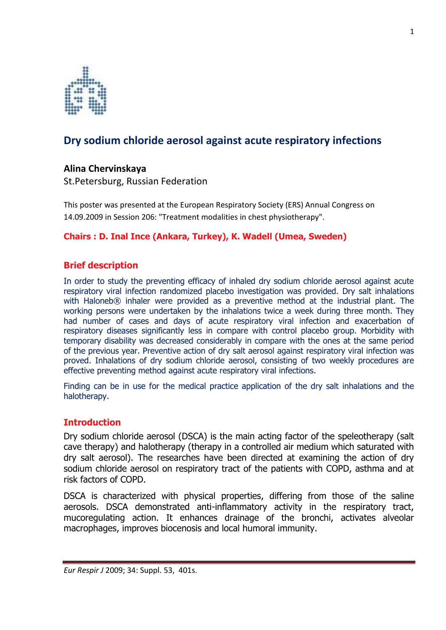

# **Dry sodium chloride aerosol against acute respiratory infections**

# **Alina!Chervinskaya**

St.Petersburg, Russian Federation

This poster was presented at the European Respiratory Society (ERS) Annual Congress on 14.09.2009 in Session 206: "Treatment modalities in chest physiotherapy".

### **Chairs: D. Inal Ince (Ankara, Turkey), K. Wadell (Umea, Sweden)**

### **Brief!description**

In order to study the preventing efficacy of inhaled dry sodium chloride aerosol against acute respiratory viral infection randomized placebo investigation was provided. Dry salt inhalations with Haloneb® inhaler were provided as a preventive method at the industrial plant. The working persons were undertaken by the inhalations twice a week during three month. They had number of cases and days of acute respiratory viral infection and exacerbation of respiratory diseases significantly less in compare with control placebo group. Morbidity with temporary disability was decreased considerably in compare with the ones at the same period of the previous year. Preventive action of dry salt aerosol against respiratory viral infection was proved. Inhalations of dry sodium chloride aerosol, consisting of two weekly procedures are effective preventing method against acute respiratory viral infections.

Finding can be in use for the medical practice application of the dry salt inhalations and the halotherapy.

### **Introduction**

Dry sodium chloride aerosol (DSCA) is the main acting factor of the speleotherapy (salt cave therapy) and halotherapy (therapy in a controlled air medium which saturated with dry salt aerosol). The researches have been directed at examining the action of dry sodium chloride aerosol on respiratory tract of the patients with COPD, asthma and at risk factors of COPD.

DSCA is characterized with physical properties, differing from those of the saline aerosols. DSCA demonstrated anti-inflammatory activity in the respiratory tract, mucoregulating action. It enhances drainage of the bronchi, activates alveolar macrophages, improves biocenosis and local humoral immunity.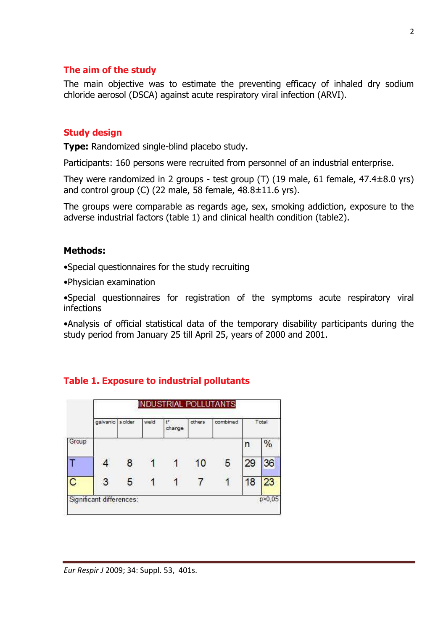### **The aim of the study**

The main objective was to estimate the preventing efficacy of inhaled dry sodium chloride aerosol (DSCA) against acute respiratory viral infection (ARVI).

# **Study!design**

**Type:** Randomized single-blind placebo study.

Participants: 160 persons were recruited from personnel of an industrial enterprise.

They were randomized in 2 groups - test group (T) (19 male, 61 female,  $47.4\pm8.0$  yrs) and control group (C) (22 male, 58 female,  $48.8 \pm 11.6$  yrs).

The groups were comparable as regards age, sex, smoking addiction, exposure to the adverse industrial factors (table 1) and clinical health condition (table2).

# **Methods:**

• Special questionnaires for the study recruiting

 $\bullet$ Physician examination

•Special questionnaires for registration of the symptoms acute respiratory viral infections!

• Analysis of official statistical data of the temporary disability participants during the study period from January 25 till April 25, years of 2000 and 2001.



# **Table 1. Exposure to industrial pollutants**

*Eur Respir J* 2009; 34: Suppl. 53, 401s.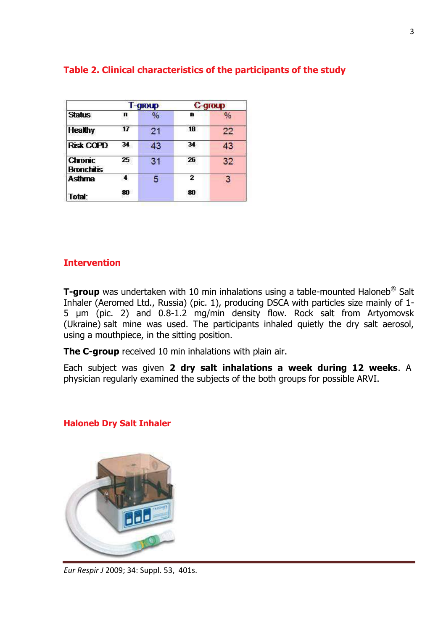| <b>Status</b>                       | T-group |               | C-group |               |
|-------------------------------------|---------|---------------|---------|---------------|
|                                     | n       | $\frac{0}{0}$ | n       | $\frac{0}{0}$ |
| <b>Healthy</b>                      |         | 21            | 18      | 22            |
| <b>Risk COPD</b>                    | 34      | 43            | 34      | 43            |
| <b>Chronic</b><br><b>Bronchitis</b> | 25      | 31            | 26      | 32            |
| <b>Asthma</b>                       | A.      | 5             | 2       | 3             |
| Total:                              | 80      |               | 80      |               |

# Table 2. Clinical characteristics of the participants of the study

# **Intervention**

**T-group** was undertaken with 10 min inhalations using a table-mounted Haloneb<sup>®</sup> Salt Inhaler (Aeromed Ltd., Russia) (pic. 1), producing DSCA with particles size mainly of 1-5 µm (pic. 2) and 0.8-1.2 mg/min density flow. Rock salt from Artyomovsk (Ukraine) salt mine was used. The participants inhaled quietly the dry salt aerosol, using a mouthpiece, in the sitting position.

**The C-group** received 10 min inhalations with plain air.

Each subject was given 2 dry salt inhalations a week during 12 weeks. A physician regularly examined the subjects of the both groups for possible ARVI.

# **Haloneb Dry Salt Inhaler**



*Eur Respir J* 2009; 34: Suppl. 53, 401s.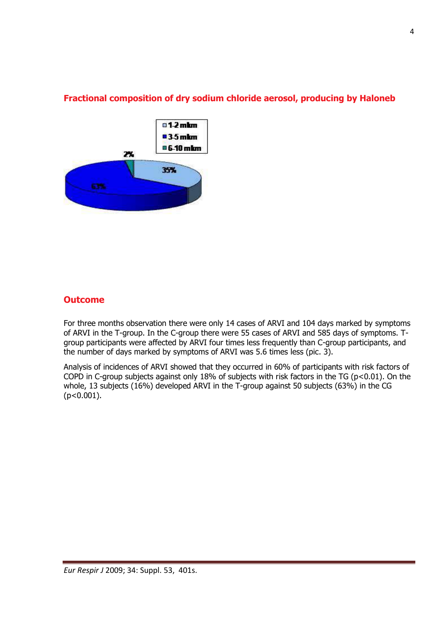

# **Fractional composition of dry sodium chloride aerosol, producing by Haloneb**

### **Outcome**

For three months observation there were only 14 cases of ARVI and 104 days marked by symptoms of ARVI in the T-group. In the C-group there were 55 cases of ARVI and 585 days of symptoms. Tgroup participants were affected by ARVI four times less frequently than C-group participants, and the number of days marked by symptoms of ARVI was  $5.6$  times less (pic. 3).

Analysis of incidences of ARVI showed that they occurred in 60% of participants with risk factors of COPD in C-group subjects against only 18% of subjects with risk factors in the TG (p<0.01). On the whole, 13 subjects (16%) developed ARVI in the T-group against 50 subjects (63%) in the CG  $(p<0.001)$ .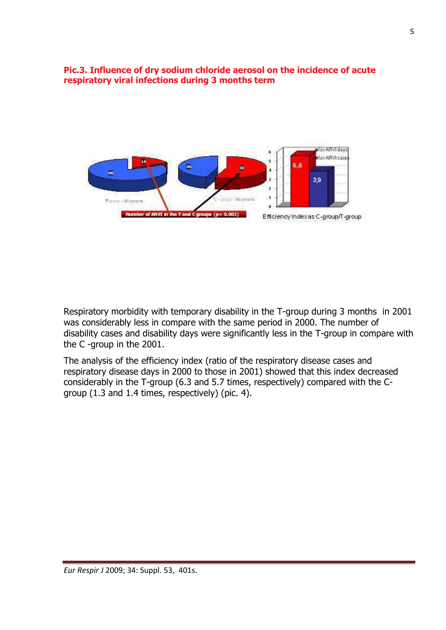# Pic.3. Influence of dry sodium chloride aerosol on the incidence of acute respiratory viral infections during 3 months term



Respiratory morbidity with temporary disability in the T-group during 3 months in 2001 was considerably less in compare with the same period in 2000. The number of disability cases and disability days were significantly less in the T-group in compare with the C-group in the 2001.

The analysis of the efficiency index (ratio of the respiratory disease cases and respiratory disease days in 2000 to those in 2001) showed that this index decreased considerably in the T-group (6.3 and 5.7 times, respectively) compared with the Cgroup (1.3 and 1.4 times, respectively) (pic. 4).